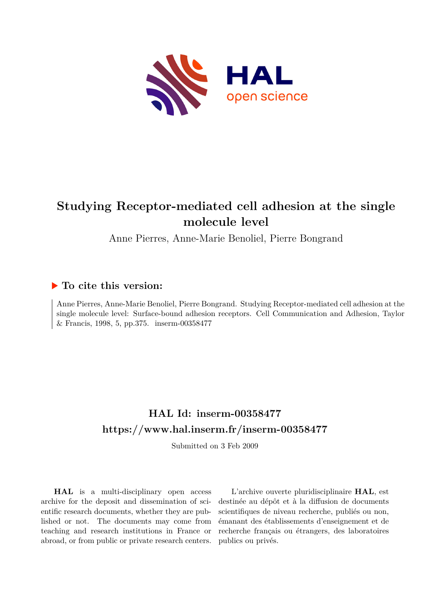

# **Studying Receptor-mediated cell adhesion at the single molecule level**

Anne Pierres, Anne-Marie Benoliel, Pierre Bongrand

## **To cite this version:**

Anne Pierres, Anne-Marie Benoliel, Pierre Bongrand. Studying Receptor-mediated cell adhesion at the single molecule level: Surface-bound adhesion receptors. Cell Communication and Adhesion, Taylor  $&$  Francis, 1998, 5, pp.375. inserm-00358477

# **HAL Id: inserm-00358477 <https://www.hal.inserm.fr/inserm-00358477>**

Submitted on 3 Feb 2009

**HAL** is a multi-disciplinary open access archive for the deposit and dissemination of scientific research documents, whether they are published or not. The documents may come from teaching and research institutions in France or abroad, or from public or private research centers.

L'archive ouverte pluridisciplinaire **HAL**, est destinée au dépôt et à la diffusion de documents scientifiques de niveau recherche, publiés ou non, émanant des établissements d'enseignement et de recherche français ou étrangers, des laboratoires publics ou privés.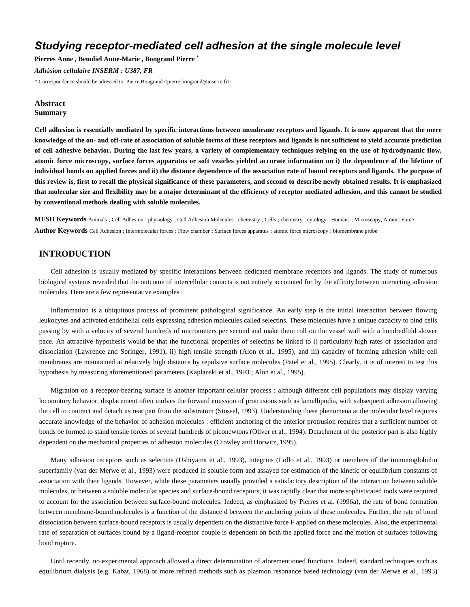## *Studying receptor-mediated cell adhesion at the single molecule level*

**Pierres Anne , Benoliel Anne-Marie , Bongrand Pierre** \*

*Adh*é*sion cellulaire INSERM : U387, FR*

\* Correspondence should be adressed to: Pierre Bongrand <pierre.bongrand@inserm.fr>

## **Abstract Summary**

**Cell adhesion is essentially mediated by specific interactions between membrane receptors and ligands. It is now apparent that the mere knowledge of the on- and off-rate of association of soluble forms of these receptors and ligands is not sufficient to yield accurate prediction of cell adhesive behavior. During the last few years, a variety of complementary techniques relying on the use of hydrodynamic flow, atomic force microscopy, surface forces apparatus or soft vesicles yielded accurate information on i) the dependence of the lifetime of individual bonds on applied forces and ii) the distance dependence of the association rate of bound receptors and ligands. The purpose of this review is, first to recall the physical significance of these parameters, and second to describe newly obtained results. It is emphasized that molecular size and flexibility may be a major determinant of the efficiency of receptor mediated adhesion, and this cannot be studied by conventional methods dealing with soluble molecules.**

**MESH Keywords** Animals ; Cell Adhesion ; physiology ; Cell Adhesion Molecules ; chemistry ; Cells ; chemistry ; cytology ; Humans ; Microscopy, Atomic Force **Author Keywords** Cell Adhesion ; Intermolecular forces ; Flow chamber ; Surface forces apparatus ; atomic force microscopy ; biomembrane probe

## **INTRODUCTION**

Cell adhesion is usually mediated by specific interactions between dedicated membrane receptors and ligands. The study of numerous biological systems revealed that the outcome of intercellular contacts is not entirely accounted for by the affinity between interacting adhesion molecules. Here are a few representative examples :

Inflammation is a ubiquitous process of prominent pathological significance. An early step is the initial interaction between flowing leukocytes and activated endothelial cells expressing adhesion molecules called selectins. These molecules have a unique capacity to bind cells passing by with a velocity of several hundreds of micrometers per second and make them roll on the vessel wall with a hundredfold slower pace. An attractive hypothesis would be that the functional properties of selectins be linked to i) particularly high rates of association and dissociation (Lawrence and Springer, 1991), ii) high tensile strength (Alon et al., 1995), and iii) capacity of forming adhesion while cell membranes are maintained at relatively high distance by repulsive surface molecules (Patel et al., 1995). Clearly, it is of interest to test this hypothesis by measuring aforementioned parameters (Kaplanski et al., 1993 ; Alon et al., 1995).

Migration on a receptor-bearing surface is another important cellular process : although different cell populations may display varying locomotory behavior, displacement often inolves the forward emission of protrusions such as lamellipodia, with subsequent adhesion allowing the cell to contract and detach its rear part from the substratum (Stossel, 1993). Understanding these phenomena at the molecular level requires accurate knowledge of the behavior of adhesion molecules : efficient anchoring of the anterior protrusion requires that a sufficient number of bonds be formed to stand tensile forces of several hundreds of piconewtons (Oliver et al., 1994). Detachment of the posterior part is also highly dependent on the mechanical properties of adhesion molecules (Crowley and Horwitz, 1995).

Many adhesion receptors such as selectins (Ushiyama et al., 1993), integrins (Lollo et al., 1993) or members of the immunoglobulin superfamily (van der Merwe et al., 1993) were produced in soluble form and assayed for estimation of the kinetic or equilibrium constants of association with their ligands. However, while these parameters usually provided a satisfactory description of the interaction between soluble molecules, or between a soluble molecular species and surface-bound receptors, it was rapidly clear that more sophisticated tools were required to account for the association between surface-bound molecules. Indeed, as emphasized by Pierres et al. (1996a), the rate of bond formation between membrane-bound molecules is a function of the distance d between the anchoring points of these molecules. Further, the rate of bond dissociation between surface-bound receptors is usually dependent on the distractive force F applied on these molecules. Also, the experimental rate of separation of surfaces bound by a ligand-receptor couple is dependent on both the applied force and the motion of surfaces following bond rupture.

Until recently, no experimental approach allowed a direct determination of aforementioned functions. Indeed, standard techniques such as equilibrium dialysis (e.g. Kabat, 1968) or more refined methods such as plasmon resonance based technology (van der Merwe et al., 1993)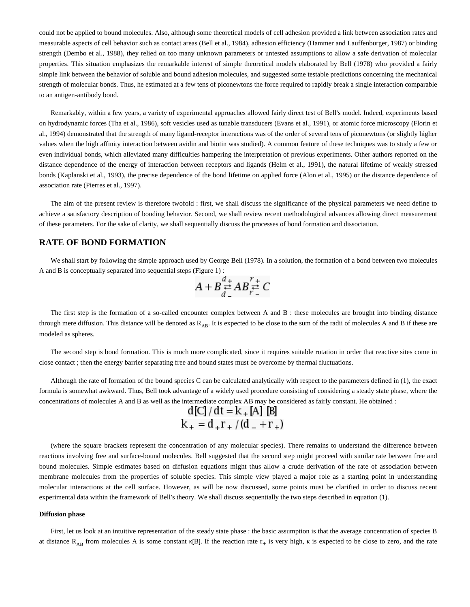could not be applied to bound molecules. Also, although some theoretical models of cell adhesion provided a link between association rates and measurable aspects of cell behavior such as contact areas (Bell et al., 1984), adhesion efficiency (Hammer and Lauffenburger, 1987) or binding strength (Dembo et al., 1988), they relied on too many unknown parameters or untested assumptions to allow a safe derivation of molecular properties. This situation emphasizes the remarkable interest of simple theoretical models elaborated by Bell (1978) who provided a fairly simple link between the behavior of soluble and bound adhesion molecules, and suggested some testable predictions concerning the mechanical strength of molecular bonds. Thus, he estimated at a few tens of piconewtons the force required to rapidly break a single interaction comparable to an antigen-antibody bond.

Remarkably, within a few years, a variety of experimental approaches allowed fairly direct test of Bell's model. Indeed, experiments based on hydrodynamic forces (Tha et al., 1986), soft vesicles used as tunable transducers (Evans et al., 1991), or atomic force microscopy (Florin et al., 1994) demonstrated that the strength of many ligand-receptor interactions was of the order of several tens of piconewtons (or slightly higher values when the high affinity interaction between avidin and biotin was studied). A common feature of these techniques was to study a few or even individual bonds, which alleviated many difficulties hampering the interpretation of previous experiments. Other authors reported on the distance dependence of the energy of interaction between receptors and ligands (Helm et al., 1991), the natural lifetime of weakly stressed bonds (Kaplanski et al., 1993), the precise dependence of the bond lifetime on applied force (Alon et al., 1995) or the distance dependence of association rate (Pierres et al., 1997).

The aim of the present review is therefore twofold : first, we shall discuss the significance of the physical parameters we need define to achieve a satisfactory description of bonding behavior. Second, we shall review recent methodological advances allowing direct measurement of these parameters. For the sake of clarity, we shall sequentially discuss the processes of bond formation and dissociation.

## **RATE OF BOND FORMATION**

We shall start by following the simple approach used by George Bell (1978). In a solution, the formation of a bond between two molecules A and B is conceptually separated into sequential steps (Figure 1) :

$$
A + B_{\overrightarrow{d}_{-}}^{\overrightarrow{d}_{+}} AB_{\overrightarrow{r}_{-}}^{\overrightarrow{r}_{+}} C
$$

The first step is the formation of a so-called encounter complex between A and B : these molecules are brought into binding distance through mere diffusion. This distance will be denoted as  $R_{AB}$ . It is expected to be close to the sum of the radii of molecules A and B if these are modeled as spheres.

The second step is bond formation. This is much more complicated, since it requires suitable rotation in order that reactive sites come in close contact ; then the energy barrier separating free and bound states must be overcome by thermal fluctuations.

Although the rate of formation of the bound species C can be calculated analytically with respect to the parameters defined in (1), the exact formula is somewhat awkward. Thus, Bell took advantage of a widely used procedure consisting of considering a steady state phase, where the concentrations of molecules A and B as well as the intermediate complex AB may be considered as fairly constant. He obtained :

| $d[C]/dt = k + [A][B]$             |
|------------------------------------|
| $K_{+} = d_{+}r_{+}/(d_{-}+r_{+})$ |

(where the square brackets represent the concentration of any molecular species). There remains to understand the difference between reactions involving free and surface-bound molecules. Bell suggested that the second step might proceed with similar rate between free and bound molecules. Simple estimates based on diffusion equations might thus allow a crude derivation of the rate of association between membrane molecules from the properties of soluble species. This simple view played a major role as a starting point in understanding molecular interactions at the cell surface. However, as will be now discussed, some points must be clarified in order to discuss recent experimental data within the framework of Bell's theory. We shall discuss sequentially the two steps described in equation (1).

### **Diffusion phase**

First, let us look at an intuitive representation of the steady state phase : the basic assumption is that the average concentration of species B at distance  $R_{AB}$  from molecules A is some constant  $\kappa[B]$ . If the reaction rate  $r_+$  is very high,  $\kappa$  is expected to be close to zero, and the rate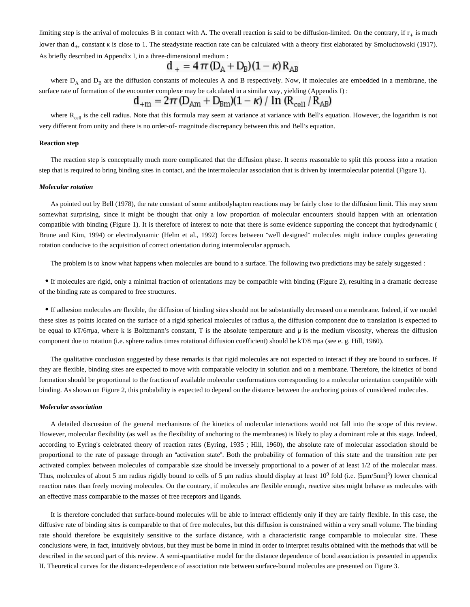limiting step is the arrival of molecules B in contact with A. The overall reaction is said to be diffusion-limited. On the contrary, if  $r_+$  is much lower than  $d_{+}$ , constant  $\kappa$  is close to 1. The steadystate reaction rate can be calculated with a theory first elaborated by Smoluchowski (1917). As briefly described in Appendix I, in a three-dimensional medium :

$$
d_{+} = 4 \pi (D_{A} + D_{B}) (1 - \kappa) R_{AB}
$$

where  $D_A$  and  $D_B$  are the diffusion constants of molecules A and B respectively. Now, if molecules are embedded in a membrane, the surface rate of formation of the encounter complexe may be calculated in a similar way, yielding (Appendix I) :

$$
d_{+m} = 2\pi (D_{Am} + D_{Bm})(1 - \kappa) / \ln (R_{cell} / R_{AB})
$$

where  $R_{cell}$  is the cell radius. Note that this formula may seem at variance at variance with Bell's equation. However, the logarithm is not very different from unity and there is no order-of- magnitude discrepancy between this and Bell's equation.

#### **Reaction step**

The reaction step is conceptually much more complicated that the diffusion phase. It seems reasonable to split this process into a rotation step that is required to bring binding sites in contact, and the intermolecular association that is driven by intermolecular potential (Figure 1).

#### *Molecular rotation*

As pointed out by Bell (1978), the rate constant of some antibodyhapten reactions may be fairly close to the diffusion limit. This may seem somewhat surprising, since it might be thought that only a low proportion of molecular encounters should happen with an orientation compatible with binding (Figure 1). It is therefore of interest to note that there is some evidence supporting the concept that hydrodynamic ( Brune and Kim, 1994) or electrodynamic (Helm et al., 1992) forces between "well designed" molecules might induce couples generating rotation conducive to the acquisition of correct orientation during intermolecular approach.

The problem is to know what happens when molecules are bound to a surface. The following two predictions may be safely suggested :

If molecules are rigid, only a minimal fraction of orientations may be compatible with binding (Figure 2), resulting in a dramatic decrease of the binding rate as compared to free structures.

If adhesion molecules are flexible, the diffusion of binding sites should not be substantially decreased on a membrane. Indeed, if we model these sites as points located on the surface of a rigid spherical molecules of radius a, the diffusion component due to translation is expected to be equal to kT/6πμa, where k is Boltzmann's constant, T is the absolute temperature and μ is the medium viscosity, whereas the diffusion component due to rotation (i.e. sphere radius times rotational diffusion coefficient) should be kT/8 πμa (see e. g. Hill, 1960).

The qualitative conclusion suggested by these remarks is that rigid molecules are not expected to interact if they are bound to surfaces. If they are flexible, binding sites are expected to move with comparable velocity in solution and on a membrane. Therefore, the kinetics of bond formation should be proportional to the fraction of available molecular conformations corresponding to a molecular orientation compatible with binding. As shown on Figure 2, this probability is expected to depend on the distance between the anchoring points of considered molecules.

#### *Molecular association*

A detailed discussion of the general mechanisms of the kinetics of molecular interactions would not fall into the scope of this review. However, molecular flexibility (as well as the flexibility of anchoring to the membranes) is likely to play a dominant role at this stage. Indeed, according to Eyring's celebrated theory of reaction rates (Eyring, 1935 ; Hill, 1960), the absolute rate of molecular association should be proportional to the rate of passage through an "activation state". Both the probability of formation of this state and the transition rate per activated complex between molecules of comparable size should be inversely proportional to a power of at least 1/2 of the molecular mass. Thus, molecules of about 5 nm radius rigidly bound to cells of 5  $\mu$ m radius should display at least 10<sup>9</sup> fold (i.e. [5 $\mu$ m/5nm]<sup>3</sup>) lower chemical reaction rates than freely moving molecules. On the contrary, if molecules are flexible enough, reactive sites might behave as molecules with an effective mass comparable to the masses of free receptors and ligands.

It is therefore concluded that surface-bound molecules will be able to interact efficiently only if they are fairly flexible. In this case, the diffusive rate of binding sites is comparable to that of free molecules, but this diffusion is constrained within a very small volume. The binding rate should therefore be exquisitely sensitive to the surface distance, with a characteristic range comparable to molecular size. These conclusions were, in fact, intuitively obvious, but they must be borne in mind in order to interpret results obtained with the methods that will be described in the second part of this review. A semi-quantitative model for the distance dependence of bond association is presented in appendix II. Theoretical curves for the distance-dependence of association rate between surface-bound molecules are presented on Figure 3.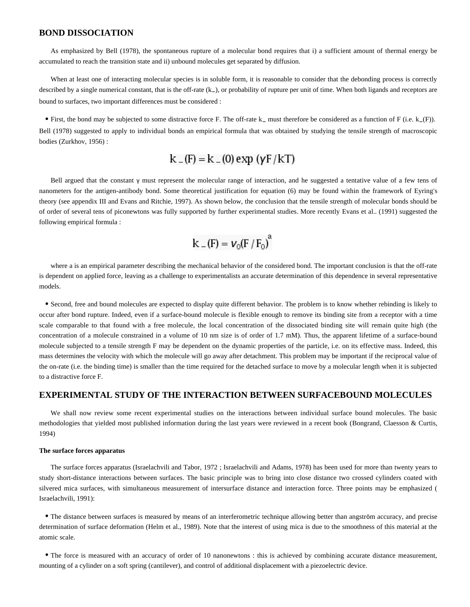## **BOND DISSOCIATION**

As emphasized by Bell (1978), the spontaneous rupture of a molecular bond requires that i) a sufficient amount of thermal energy be accumulated to reach the transition state and ii) unbound molecules get separated by diffusion.

When at least one of interacting molecular species is in soluble form, it is reasonable to consider that the debonding process is correctly described by a single numerical constant, that is the off-rate (k<sub>-</sub>), or probability of rupture per unit of time. When both ligands and receptors are bound to surfaces, two important differences must be considered :

First, the bond may be subjected to some distractive force F. The off-rate k<sub>n</sub> must therefore be considered as a function of F (i.e. k<sub>n</sub>(F)). Bell (1978) suggested to apply to individual bonds an empirical formula that was obtained by studying the tensile strength of macroscopic bodies (Zurkhov, 1956) :

$$
k_{-}(F) = k_{-}(0) \exp(\gamma F/kT)
$$

Bell argued that the constant γ must represent the molecular range of interaction, and he suggested a tentative value of a few tens of nanometers for the antigen-antibody bond. Some theoretical justification for equation (6) may be found within the framework of Eyring's theory (see appendix III and Evans and Ritchie, 1997). As shown below, the conclusion that the tensile strength of molecular bonds should be of order of several tens of piconewtons was fully supported by further experimental studies. More recently Evans et al.. (1991) suggested the following empirical formula :

$$
k_{-}(F) = \nu_{0}(F/F_{0})^{3}
$$

where a is an empirical parameter describing the mechanical behavior of the considered bond. The important conclusion is that the off-rate is dependent on applied force, leaving as a challenge to experimentalists an accurate determination of this dependence in several representative models.

Second, free and bound molecules are expected to display quite different behavior. The problem is to know whether rebinding is likely to occur after bond rupture. Indeed, even if a surface-bound molecule is flexible enough to remove its binding site from a receptor with a time scale comparable to that found with a free molecule, the local concentration of the dissociated binding site will remain quite high (the concentration of a molecule constrained in a volume of 10 nm size is of order of 1.7 mM). Thus, the apparent lifetime of a surface-bound molecule subjected to a tensile strength F may be dependent on the dynamic properties of the particle, i.e. on its effective mass. Indeed, this mass determines the velocity with which the molecule will go away after detachment. This problem may be important if the reciprocal value of the on-rate (i.e. the binding time) is smaller than the time required for the detached surface to move by a molecular length when it is subjected to a distractive force F.

## **EXPERIMENTAL STUDY OF THE INTERACTION BETWEEN SURFACEBOUND MOLECULES**

We shall now review some recent experimental studies on the interactions between individual surface bound molecules. The basic methodologies that yielded most published information during the last years were reviewed in a recent book (Bongrand, Claesson & Curtis, 1994)

#### **The surface forces apparatus**

The surface forces apparatus (Israelachvili and Tabor, 1972 ; Israelachvili and Adams, 1978) has been used for more than twenty years to study short-distance interactions between surfaces. The basic principle was to bring into close distance two crossed cylinders coated with silvered mica surfaces, with simultaneous measurement of intersurface distance and interaction force. Three points may be emphasized ( Israelachvili, 1991):

The distance between surfaces is measured by means of an interferometric technique allowing better than angström accuracy, and precise determination of surface deformation (Helm et al., 1989). Note that the interest of using mica is due to the smoothness of this material at the atomic scale.

The force is measured with an accuracy of order of 10 nanonewtons : this is achieved by combining accurate distance measurement, mounting of a cylinder on a soft spring (cantilever), and control of additional displacement with a piezoelectric device.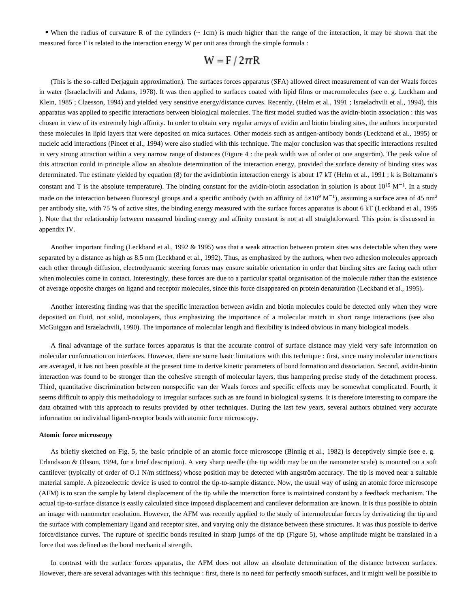• When the radius of curvature R of the cylinders (~ 1cm) is much higher than the range of the interaction, it may be shown that the measured force F is related to the interaction energy W per unit area through the simple formula :

# $W = F / 2\pi R$

(This is the so-called Derjaguin approximation). The surfaces forces apparatus (SFA) allowed direct measurement of van der Waals forces in water (Israelachvili and Adams, 1978). It was then applied to surfaces coated with lipid films or macromolecules (see e. g. Luckham and Klein, 1985 ; Claesson, 1994) and yielded very sensitive energy/distance curves. Recently, (Helm et al., 1991 ; Israelachvili et al., 1994), this apparatus was applied to specific interactions between biological molecules. The first model studied was the avidin-biotin association : this was chosen in view of its extremely high affinity. In order to obtain very regular arrays of avidin and biotin binding sites, the authors incorporated these molecules in lipid layers that were deposited on mica surfaces. Other models such as antigen-antibody bonds (Leckband et al., 1995) or nucleic acid interactions (Pincet et al., 1994) were also studied with this technique. The major conclusion was that specific interactions resulted in very strong attraction within a very narrow range of distances (Figure 4 : the peak width was of order ot one angström). The peak value of this attraction could in principle allow an absolute determination of the interaction energy, provided the surface density of binding sites was determinated. The estimate yielded by equation (8) for the avidinbiotin interaction energy is about 17 kT (Helm et al., 1991 ; k is Boltzmann's constant and T is the absolute temperature). The binding constant for the avidin-biotin association in solution is about  $10^{15}$  M<sup>-1</sup>. In a study made on the interaction between fluorescyl groups and a specific antibody (with an affinity of  $5 \times 10^9$  M<sup>-1</sup>), assuming a surface area of 45 nm<sup>2</sup> per antibody site, with 75 % of active sites, the binding energy measured with the surface forces apparatus is about 6 kT (Leckband et al., 1995 ). Note that the relationship between measured binding energy and affinity constant is not at all straightforward. This point is discussed in appendix IV.

Another important finding (Leckband et al., 1992 & 1995) was that a weak attraction between protein sites was detectable when they were separated by a distance as high as 8.5 nm (Leckband et al., 1992). Thus, as emphasized by the authors, when two adhesion molecules approach each other through diffusion, electrodynamic steering forces may ensure suitable orientation in order that binding sites are facing each other when molecules come in contact. Interestingly, these forces are due to a particular spatial organisation of the molecule rather than the existence of average opposite charges on ligand and receptor molecules, since this force disappeared on protein denaturation (Leckband et al., 1995).

Another interesting finding was that the specific interaction between avidin and biotin molecules could be detected only when they were deposited on fluid, not solid, monolayers, thus emphasizing the importance of a molecular match in short range interactions (see also McGuiggan and Israelachvili, 1990). The importance of molecular length and flexibility is indeed obvious in many biological models.

A final advantage of the surface forces apparatus is that the accurate control of surface distance may yield very safe information on molecular conformation on interfaces. However, there are some basic limitations with this technique : first, since many molecular interactions are averaged, it has not been possible at the present time to derive kinetic parameters of bond formation and dissociation. Second, avidin-biotin interaction was found to be stronger than the cohesive strength of molecular layers, thus hampering precise study of the detachment process. Third, quantitative discrimination between nonspecific van der Waals forces and specific effects may be somewhat complicated. Fourth, it seems difficult to apply this methodology to irregular surfaces such as are found in biological systems. It is therefore interesting to compare the data obtained with this approach to results provided by other techniques. During the last few years, several authors obtained very accurate information on individual ligand-receptor bonds with atomic force microscopy.

#### **Atomic force microscopy**

As briefly sketched on Fig. 5, the basic principle of an atomic force microscope (Binnig et al., 1982) is deceptively simple (see e. g. Erlandsson & Olsson, 1994, for a brief description). A very sharp needle (the tip width may be on the nanometer scale) is mounted on a soft cantilever (typically of order of O.1 N/m stiffness) whose position may be detected with angström accuracy. The tip is moved near a suitable material sample. A piezoelectric device is used to control the tip-to-sample distance. Now, the usual way of using an atomic force microscope (AFM) is to scan the sample by lateral displacement of the tip while the interaction force is maintained constant by a feedback mechanism. The actual tip-to-surface distance is easily calculated since imposed displacement and cantilever deformation are known. It is thus possible to obtain an image with nanometer resolution. However, the AFM was recently applied to the study of intermolecular forces by derivatizing the tip and the surface with complementary ligand and receptor sites, and varying only the distance between these structures. It was thus possible to derive force/distance curves. The rupture of specific bonds resulted in sharp jumps of the tip (Figure 5), whose amplitude might be translated in a force that was defined as the bond mechanical strength.

In contrast with the surface forces apparatus, the AFM does not allow an absolute determination of the distance between surfaces. However, there are several advantages with this technique : first, there is no need for perfectly smooth surfaces, and it might well be possible to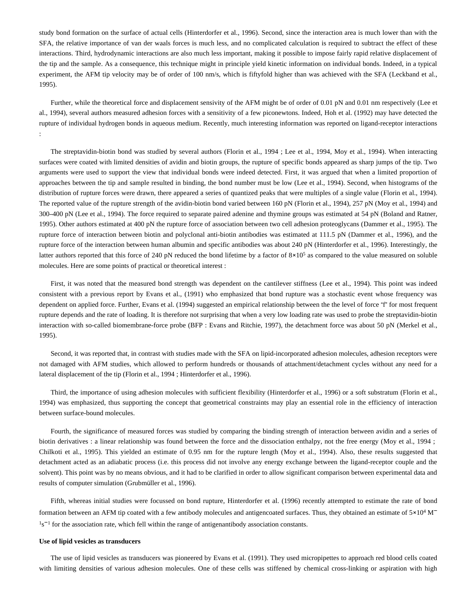study bond formation on the surface of actual cells (Hinterdorfer et al., 1996). Second, since the interaction area is much lower than with the SFA, the relative importance of van der waals forces is much less, and no complicated calculation is required to subtract the effect of these interactions. Third, hydrodynamic interactions are also much less important, making it possible to impose fairly rapid relative displacement of the tip and the sample. As a consequence, this technique might in principle yield kinetic information on individual bonds. Indeed, in a typical experiment, the AFM tip velocity may be of order of 100 nm/s, which is fiftyfold higher than was achieved with the SFA (Leckband et al., 1995).

Further, while the theoretical force and displacement sensivity of the AFM might be of order of 0.01 pN and 0.01 nm respectively (Lee et al., 1994), several authors measured adhesion forces with a sensitivity of a few piconewtons. Indeed, Hoh et al. (1992) may have detected the rupture of individual hydrogen bonds in aqueous medium. Recently, much interesting information was reported on ligand-receptor interactions :

The streptavidin-biotin bond was studied by several authors (Florin et al., 1994 ; Lee et al., 1994, Moy et al., 1994). When interacting surfaces were coated with limited densities of avidin and biotin groups, the rupture of specific bonds appeared as sharp jumps of the tip. Two arguments were used to support the view that individual bonds were indeed detected. First, it was argued that when a limited proportion of approaches between the tip and sample resulted in binding, the bond number must be low (Lee et al., 1994). Second, when histograms of the distribution of rupture forces were drawn, there appeared a series of quantized peaks that were multiples of a single value (Florin et al., 1994). The reported value of the rupture strength of the avidin-biotin bond varied between 160 pN (Florin et al., 1994), 257 pN (Moy et al., 1994) and 300–400 pN (Lee et al., 1994). The force required to separate paired adenine and thymine groups was estimated at 54 pN (Boland and Ratner, 1995). Other authors estimated at 400 pN the rupture force of association between two cell adhesion proteoglycans (Dammer et al., 1995). The rupture force of interaction between biotin and polyclonal anti-biotin antibodies was estimated at 111.5 pN (Dammer et al., 1996), and the rupture force of the interaction between human albumin and specific antibodies was about 240 pN (Hinterdorfer et al., 1996). Interestingly, the latter authors reported that this force of 240 pN reduced the bond lifetime by a factor of  $8\times10^5$  as compared to the value measured on soluble molecules. Here are some points of practical or theoretical interest :

First, it was noted that the measured bond strength was dependent on the cantilever stiffness (Lee et al., 1994). This point was indeed consistent with a previous report by Evans et al., (1991) who emphasized that bond rupture was a stochastic event whose frequency was dependent on applied force. Further, Evans et al. (1994) suggested an empirical relationship between the the level of force "f" for most frequent rupture depends and the rate of loading. It is therefore not surprising that when a very low loading rate was used to probe the streptavidin-biotin interaction with so-called biomembrane-force probe (BFP : Evans and Ritchie, 1997), the detachment force was about 50 pN (Merkel et al., 1995).

Second, it was reported that, in contrast with studies made with the SFA on lipid-incorporated adhesion molecules, adhesion receptors were not damaged with AFM studies, which allowed to perform hundreds or thousands of attachment/detachment cycles without any need for a lateral displacement of the tip (Florin et al., 1994 ; Hinterdorfer et al., 1996).

Third, the importance of using adhesion molecules with sufficient flexibility (Hinterdorfer et al., 1996) or a soft substratum (Florin et al., 1994) was emphasized, thus supporting the concept that geometrical constraints may play an essential role in the efficiency of interaction between surface-bound molecules.

Fourth, the significance of measured forces was studied by comparing the binding strength of interaction between avidin and a series of biotin derivatives : a linear relationship was found between the force and the dissociation enthalpy, not the free energy (Moy et al., 1994 ; Chilkoti et al., 1995). This yielded an estimate of 0.95 nm for the rupture length (Moy et al., 1994). Also, these results suggested that detachment acted as an adiabatic process (i.e. this process did not involve any energy exchange between the ligand-receptor couple and the solvent). This point was by no means obvious, and it had to be clarified in order to allow significant comparison between experimental data and results of computer simulation (Grubmüller et al., 1996).

Fifth, whereas initial studies were focussed on bond rupture, Hinterdorfer et al. (1996) recently attempted to estimate the rate of bond formation between an AFM tip coated with a few antibody molecules and antigencoated surfaces. Thus, they obtained an estimate of  $5\times10^4$  M<sup>-</sup>  $1s$ <sup>-1</sup> for the association rate, which fell within the range of antigenantibody association constants.

#### **Use of lipid vesicles as transducers**

The use of lipid vesicles as transducers was pioneered by Evans et al. (1991). They used micropipettes to approach red blood cells coated with limiting densities of various adhesion molecules. One of these cells was stiffened by chemical cross-linking or aspiration with high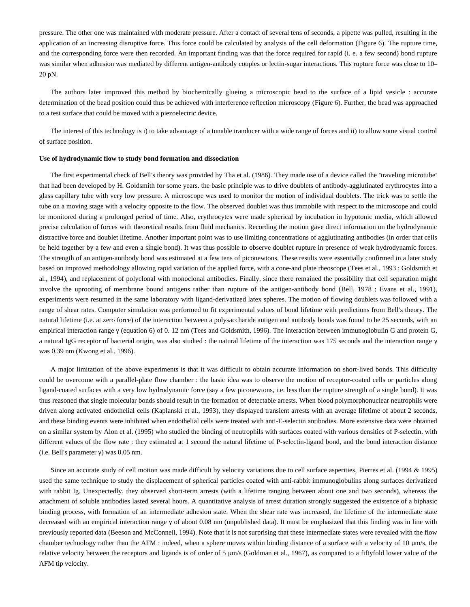pressure. The other one was maintained with moderate pressure. After a contact of several tens of seconds, a pipette was pulled, resulting in the application of an increasing disruptive force. This force could be calculated by analysis of the cell deformation (Figure 6). The rupture time, and the corresponding force were then recorded. An important finding was that the force required for rapid (i. e. a few second) bond rupture was similar when adhesion was mediated by different antigen-antibody couples or lectin-sugar interactions. This rupture force was close to 10– 20 pN.

The authors later improved this method by biochemically glueing a microscopic bead to the surface of a lipid vesicle : accurate determination of the bead position could thus be achieved with interference reflection microscopy (Figure 6). Further, the bead was approached to a test surface that could be moved with a piezoelectric device.

The interest of this technology is i) to take advantage of a tunable tranducer with a wide range of forces and ii) to allow some visual control of surface position.

#### **Use of hydrodynamic flow to study bond formation and dissociation**

The first experimental check of Bell's theory was provided by Tha et al. (1986). They made use of a device called the "traveling microtube" that had been developed by H. Goldsmith for some years. the basic principle was to drive doublets of antibody-agglutinated erythrocytes into a glass capillary tube with very low pressure. A microscope was used to monitor the motion of individual doublets. The trick was to settle the tube on a moving stage with a velocity opposite to the flow. The observed doublet was thus immobile with respect to the microscope and could be monitored during a prolonged period of time. Also, erythrocytes were made spherical by incubation in hypotonic media, which allowed precise calculation of forces with theoretical results from fluid mechanics. Recording the motion gave direct information on the hydrodynamic distractive force and doublet lifetime. Another important point was to use limiting concentrations of agglutinating antibodies (in order that cells be held together by a few and even a single bond). It was thus possible to observe doublet rupture in presence of weak hydrodynamic forces. The strength of an antigen-antibody bond was estimated at a few tens of piconewtons. These results were essentially confirmed in a later study based on improved methodology allowing rapid variation of the applied force, with a cone-and plate rheoscope (Tees et al., 1993 ; Goldsmith et al., 1994), and replacement of polyclonal with monoclonal antibodies. Finally, since there remained the possibility that cell separation might involve the uprooting of membrane bound antigens rather than rupture of the antigen-antibody bond (Bell, 1978 ; Evans et al., 1991), experiments were resumed in the same laboratory with ligand-derivatized latex spheres. The motion of flowing doublets was followed with a range of shear rates. Computer simulation was performed to fit experimental values of bond lifetime with predictions from Bell's theory. The natural lifetime (i.e. at zero force) of the interaction between a polysaccharide antigen and antibody bonds was found to be 25 seconds, with an empirical interaction range γ (equation 6) of 0. 12 nm (Tees and Goldsmith, 1996). The interaction between immunoglobulin G and protein G, a natural IgG receptor of bacterial origin, was also studied : the natural lifetime of the interaction was 175 seconds and the interaction range γ was 0.39 nm (Kwong et al., 1996).

A major limitation of the above experiments is that it was difficult to obtain accurate information on short-lived bonds. This difficulty could be overcome with a parallel-plate flow chamber : the basic idea was to observe the motion of receptor-coated cells or particles along ligand-coated surfaces with a very low hydrodynamic force (say a few piconewtons, i.e. less than the rupture strength of a single bond). It was thus reasoned that single molecular bonds should result in the formation of detectable arrests. When blood polymorphonuclear neutrophils were driven along activated endothelial cells (Kaplanski et al., 1993), they displayed transient arrests with an average lifetime of about 2 seconds, and these binding events were inhibited when endothelial cells were treated with anti-E-selectin antibodies. More extensive data were obtained on a similar system by Alon et al. (1995) who studied the binding of neutrophils with surfaces coated with various densities of P-selectin, with different values of the flow rate : they estimated at 1 second the natural lifetime of P-selectin-ligand bond, and the bond interaction distance (i.e. Bell's parameter γ) was 0.05 nm.

Since an accurate study of cell motion was made difficult by velocity variations due to cell surface asperities, Pierres et al. (1994 & 1995) used the same technique to study the displacement of spherical particles coated with anti-rabbit immunoglobulins along surfaces derivatized with rabbit Ig. Unexpectedly, they observed short-term arrests (with a lifetime ranging between about one and two seconds), whereas the attachment of soluble antibodies lasted several hours. A quantitative analysis of arrest duration strongly suggested the existence of a biphasic binding process, with formation of an intermediate adhesion state. When the shear rate was increased, the lifetime of the intermediate state decreased with an empirical interaction range γ of about 0.08 nm (unpublished data). It must be emphasized that this finding was in line with previously reported data (Beeson and McConnell, 1994). Note that it is not surprising that these intermediate states were revealed with the flow chamber technology rather than the AFM : indeed, when a sphere moves within binding distance of a surface with a velocity of 10  $\mu$ m/s, the relative velocity between the receptors and ligands is of order of 5 μm/s (Goldman et al., 1967), as compared to a fiftyfold lower value of the AFM tip velocity.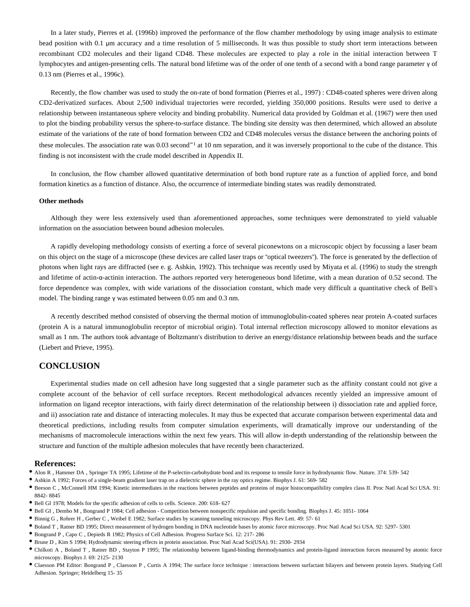In a later study, Pierres et al. (1996b) improved the performance of the flow chamber methodology by using image analysis to estimate bead position with 0.1 μm accuracy and a time resolution of 5 milliseconds. It was thus possible to study short term interactions between recombinant CD2 molecules and their ligand CD48. These molecules are expected to play a role in the initial interaction between T lymphocytes and antigen-presenting cells. The natural bond lifetime was of the order of one tenth of a second with a bond range parameter γ of 0.13 nm (Pierres et al., 1996c).

Recently, the flow chamber was used to study the on-rate of bond formation (Pierres et al., 1997) : CD48-coated spheres were driven along CD2-derivatized surfaces. About 2,500 individual trajectories were recorded, yielding 350,000 positions. Results were used to derive a relationship between instantaneous sphere velocity and binding probability. Numerical data provided by Goldman et al. (1967) were then used to plot the binding probability versus the sphere-to-surface distance. The binding site density was then determined, which allowed an absolute estimate of the variations of the rate of bond formation between CD2 and CD48 molecules versus the distance between the anchoring points of these molecules. The association rate was 0.03 second<sup>-1</sup> at 10 nm separation, and it was inversely proportional to the cube of the distance. This finding is not inconsistent with the crude model described in Appendix II.

In conclusion, the flow chamber allowed quantitative determination of both bond rupture rate as a function of applied force, and bond formation kinetics as a function of distance. Also, the occurrence of intermediate binding states was readily demonstrated.

## **Other methods**

Although they were less extensively used than aforementioned approaches, some techniques were demonstrated to yield valuable information on the association between bound adhesion molecules.

A rapidly developing methodology consists of exerting a force of several piconewtons on a microscopic object by focussing a laser beam on this object on the stage of a microscope (these devices are called laser traps or "optical tweezers"). The force is generated by the deflection of photons when light rays are diffracted (see e. g. Ashkin, 1992). This technique was recently used by Miyata et al. (1996) to study the strength and lifetime of actin-α-actinin interaction. The authors reported very heterogeneous bond lifetime, with a mean duration of 0.52 second. The force dependence was complex, with wide variations of the dissociation constant, which made very difficult a quantitative check of Bell's model. The binding range γ was estimated between 0.05 nm and 0.3 nm.

A recently described method consisted of observing the thermal motion of immunoglobulin-coated spheres near protein A-coated surfaces (protein A is a natural immunoglobulin receptor of microbial origin). Total internal reflection microscopy allowed to monitor elevations as small as 1 nm. The authors took advantage of Boltzmann's distribution to derive an energy/distance relationship between beads and the surface (Liebert and Prieve, 1995).

## **CONCLUSION**

Experimental studies made on cell adhesion have long suggested that a single parameter such as the affinity constant could not give a complete account of the behavior of cell surface receptors. Recent methodological advances recently yielded an impressive amount of information on ligand receptor interactions, with fairly direct determination of the relationship between i) dissociation rate and applied force, and ii) association rate and distance of interacting molecules. It may thus be expected that accurate comparison between experimental data and theoretical predictions, including results from computer simulation experiments, will dramatically improve our understanding of the mechanisms of macromolecule interactions within the next few years. This will allow in-depth understanding of the relationship between the structure and function of the multiple adhesion molecules that have recently been characterized.

#### **References:**

- Alon R , Hammer DA , Springer TA 1995; Lifetime of the P-selectin-carbohydrate bond and its response to tensile force in hydrodynamic flow. Nature. 374: 539- 542
- Ashkin A 1992; Forces of a single-beam gradient laser trap on a dielectric sphere in the ray optics regime. Biophys J. 61: 569- 582
- Beeson C , McConnell HM 1994; Kinetic intermediates in the reactions between peptides and proteins of major histocompatibility complex class II. Proc Natl Acad Sci USA. 91: 8842- 8845
- Bell GI 1978; Models for the specific adhesion of cells to cells. Science. 200: 618- 627
- Bell GI, Dembo M, Bongrand P 1984; Cell adhesion Competition between nonspecific repulsion and specific bonding. Biophys J. 45: 1051- 1064
- Binnig G , Rohrer H , Gerber C , Weibel E 1982; Surface studies by scanning tunneling microscopy. Phys Rev Lett. 49: 57- 61
- Boland T , Ratner BD 1995; Direct measurement of hydrogen bonding in DNA nucleotide bases by atomic force microscopy. Proc Natl Acad Sci USA. 92: 5297- 5301
- Bongrand P , Capo C , Depieds R 1982; Physics of Cell Adhesion. Progress Surface Sci. 12: 217- 286
- Brune D , Kim S 1994; Hydrodynamic steering effects in protein association. Proc Natl Acad Sci(USA). 91: 2930- 2934
- Chilkoti A , Boland T , Ratner BD , Stayton P 1995; The relationship between ligand-binding thermodynamics and protein-ligand interaction forces measured by atomic force microscopy. Biophys J. 69: 2125- 2130
- Claesson PM Editor: Bongrand P , Claesson P , Curtis A 1994; The surface force technique : interactions between surfactant bilayers and between protein layers. Studying Cell Adhesion. Springer; Heidelberg 15- 35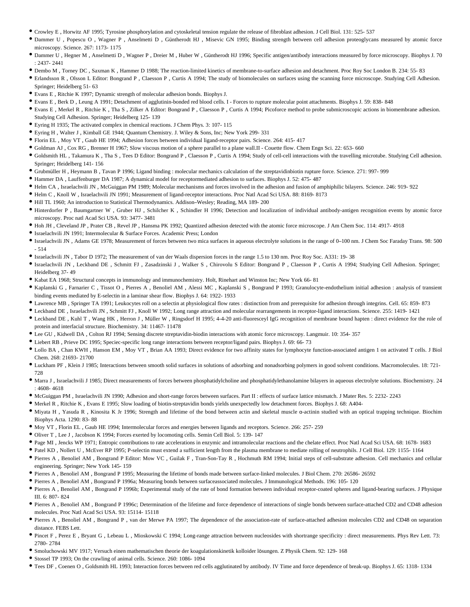- Crowley E , Horwitz AF 1995; Tyrosine phosphorylation and cytoskeletal tension regulate the release of fibroblast adhesion. J Cell Biol. 131: 525- 537
- Dammer U , Popescu O , Wagner P , Anselmetti D , Güntherodt HJ , Misevic GN 1995; Binding strength between cell adhesion proteoglycans measured by atomic force microscopy. Science. 267: 1173- 1175
- Dammer U , Hegner M , Anselmetti D , Wagner P , Dreier M , Huber W , Güntherodt HJ 1996; Specific antigen/antibody interactions measured by force microscopy. Biophys J. 70 : 2437- 2441
- Dembo M , Torney DC , Saxman K , Hammer D 1988; The reaction-limited kinetics of membrane-to-surface adhesion and detachment. Proc Roy Soc London B. 234: 55- 83
- Erlandsson R , Olsson L Editor: Bongrand P , Claesson P , Curtis A 1994; The study of biomolecules on surfaces using the scanning force microscope. Studying Cell Adhesion. Springer; Heidelberg 51- 63
- Evans E , Ritchie K 1997; Dynamic strength of molecular adhesion bonds. Biophys J.
- Evans E , Berk D , Leung A 1991; Detachment of agglutinin-bonded red blood cells. I Forces to rupture molecular point attachments. Biophys J. 59: 838- 848
- Evans E , Merkel R , Ritchie K , Tha S , Zilker A Editor: Bongrand P , Claesson P , Curtis A 1994; Picoforce method to probe submicroscopic actions in biomembrane adhesion. Studying Cell Adhesion. Springer; Heidelberg 125- 139
- Eyring H 1935; The activated complex in chemical reactions. J Chem Phys. 3: 107- 115
- Eyring H , Walter J , Kimball GE 1944; Quantum Chemistry. J. Wiley & Sons, Inc; New York 299- 331
- Florin EL , Moy VT , Gaub HE 1994; Adhesion forces between individual ligand-receptor pairs. Science. 264: 415- 417
- Goldman AJ , Cox RG , Brenner H 1967; Slow viscous motion of a sphere parallel to a plane wall.II Couette flow. Chem Engn Sci. 22: 653- 660
- Goldsmith HL , Takamura K , Tha S , Tees D Editor: Bongrand P , Claesson P , Curtis A 1994; Study of cell-cell interactions with the travelling microtube. Studying Cell adhesion. Springer; Heidelberg 141- 156
- Grubmüller H , Heymann B , Tavan P 1996; Ligand binding : molecular mechanics calculation of the streptavidinbiotin rupture force. Science. 271: 997- 999
- Hammer DA , Lauffenburger DA 1987; A dynamical model for receptormediated adhesion to surfaces. Biophys J. 52: 475- 487
- Helm CA , Israelachvili JN , McGuiggan PM 1989; Molecular mechanisms and forces involved in the adhesion and fusion of amphiphilic bilayers. Science. 246: 919- 922
- Helm C , Knoll W , Israelachvili JN 1991; Measurement of ligand-receptor interactions. Proc Natl Acad Sci USA. 88: 8169- 8173
- Hill TL 1960; An introduction to Statistical Thermodynamics. Addison–Wesley; Reading, MA 189- 200
- Hinterdorfer P , Baumgartner W , Gruber HJ , Schilcher K , Schindler H 1996; Detection and localization of individual antibody-antigen recognition events by atomic force microscopy. Proc natl Acad Sci USA. 93: 3477- 3481
- Hoh JH , Cleveland JP , Prater CB , Revel JP , Hansma PK 1992; Quantized adhesion detected with the atomic force microscope. J Am Chem Soc. 114: 4917- 4918
- Israelachvili JN 1991; Intermolecular & Surface Forces. Academic Press; London
- Israelachvili JN , Adams GE 1978; Measurement of forces between two mica surfaces in aqueous electrolyte solutions in the range of 0–100 nm. J Chem Soc Faraday Trans. 98: 500 - 514
- Israelachvili JN , Tabor D 1972; The measurement of van der Waals dispersion forces in the range 1.5 to 130 nm. Proc Roy Soc. A331: 19- 38
- Israelachvili JN , Leckband DE , Schmitt FJ , Zasadzinski J , Walker S , Chirovolu S Editor: Bongrand P , Claesson P , Curtis A 1994; Studying Cell Adhesion. Springer; Heidelberg 37- 49
- Kabat EA 1968; Structural concepts in immunology and immunochemistry. Holt, Rinehart and Winston Inc; New York 66- 81
- Kaplanski G , Farnarier C , Tissot O , Pierres A , Benoliel AM , Alessi MC , Kaplanski S , Bongrand P 1993; Granulocyte-endothelium initial adhesion : analysis of transient binding events mediated by E-selectin in a laminar shear flow. Biophys J. 64: 1922- 1933
- Lawrence MB , Springer TA 1991; Leukocytes roll on a selectin at physiological flow rates : distinction from and prerequisite for adhesion through integrins. Cell. 65: 859- 873
- Leckband DE , Israelachvili JN , Schmitt FJ , Knoll W 1992; Long range attraction and molecular rearrangements in receptor-ligand interactions. Science. 255: 1419- 1421
- Leckband DE , Kuhl T , Wang HK , Herron J , Müller W , Ringsdorf H 1995; 4-4-20 anti-fluoresceyl IgG recognition of membrane bound hapten : direct evidence for the role of protein and interfacial structure. Biochemistry. 34: 11467- 11478
- Lee GU , Kidwell DA , Colton RJ 1994; Sensing discrete streptavidin-biodin interactions with atomic force microscopy. Langmuir. 10: 354- 357
- Liebert RB , Prieve DC 1995; Speciec-specific long range interactions between receptor/ligand pairs. Biophys J. 69: 66- 73
- Lollo BA , Chan KWH , Hanson EM , Moy VT , Brian AA 1993; Direct evidence for two affinity states for lymphocyte function-associated antigen 1 on activated T cells. J Biol Chem. 268: 21693- 21700
- Luckham PF , Klein J 1985; Interactions between smooth solid surfaces in solutions of adsorbing and nonadsorbing polymers in good solvent conditions. Macromolecules. 18: 721- 728
- Marra J , Israelachvili J 1985; Direct measurements of forces between phosphatidylcholine and phosphatidylethanolamine bilayers in aqueous electrolyte solutions. Biochemistry. 24 : 4608- 4618
- McGuiggan PM , Israelachvili JN 1990; Adhesion and short-range forces between surfaces. Part II : effects of surface lattice mismatch. J Mater Res. 5: 2232- 2243
- Merkel R, Ritchie K, Evans E 1995; Slow loading of biotin-streptavidin bonds yields unexpectedly low detachment forces. Biophys J. 68: A404-
- Miyata H , Yasuda R , Kinosita K Jr 1996; Strength and lifetime of the bond between actin and skeletal muscle α-actinin studied with an optical trapping technique. Biochim Biophys Acta. 1290: 83- 88
- Moy VT , Florin EL , Gaub HE 1994; Intermolecular forces and energies between ligands and receptors. Science. 266: 257- 259
- Oliver T , Lee J , Jacobson K 1994; Forces exerted by locomoting cells. Semin Cell Biol. 5: 139- 147
- Page MI , Jencks WP 1971; Entropic contributions to rate accelerations in enzymic and intramolecular reactions and the chelate effect. Proc Natl Acad Sci USA. 68: 1678- 1683
- Patel KD , Nollert U , McEver RP 1995; P-selectin must extend a sufficient length from the plasma membrane to mediate rolling of neutrophils. J Cell Biol. 129: 1155- 1164
- Pierres A , Benoliel AM , Bongrand P Editor: Mow VC , Guilak F , Tran-Son-Tay R , Hochmuth RM 1994; Initial steps of cell-substrate adhesion. Cell mechanics and cellular engineering. Springer; New York 145- 159
- Pierres A , Benoliel AM , Bongrand P 1995; Measuring the lifetime of bonds made between surface-linked molecules. J Biol Chem. 270: 26586- 26592
- Pierres A , Benoliel AM , Bongrand P 1996a; Measuring bonds between surfaceassociated molecules. J Immunological Methods. 196: 105- 120
- Pierres A, Benoliel AM, Bongrand P 1996b; Experimental study of the rate of bond formation between individual receptor-coated spheres and ligand-bearing surfaces. J Physique III. 6: 807- 824
- Pierres A , Benoliel AM , Bongrand P 1996c; Determination of the lifetime and force dependence of interactions of single bonds between surface-attached CD2 and CD48 adhesion molecules. Proc Natl Acad Sci USA. 93: 15114- 15118
- Pierres A , Benoliel AM , Bongrand P , van der Merwe PA 1997; The dependence of the association-rate of surface-attached adhesion molecules CD2 and CD48 on separation distance. FEBS Lett.
- Pincet F , Perez E , Bryant G , Lebeau L , Mioskowski C 1994; Long-range attraction between nucleosides with shortrange specificity : direct measurements. Phys Rev Lett. 73: 2780- 2784
- Smoluchowski MV 1917; Versuch einen mathematischen theorie der koagulationskinetik kolloider lösungen. Z Physik Chem. 92: 129- 168
- Stossel TP 1993; On the crawling of animal cells. Science. 260: 1086-1094
- Tees DF , Coenen O , Goldsmith HL 1993; Interaction forces between red cells agglutinated by antibody. IV Time and force dependence of break-up. Biophys J. 65: 1318- 1334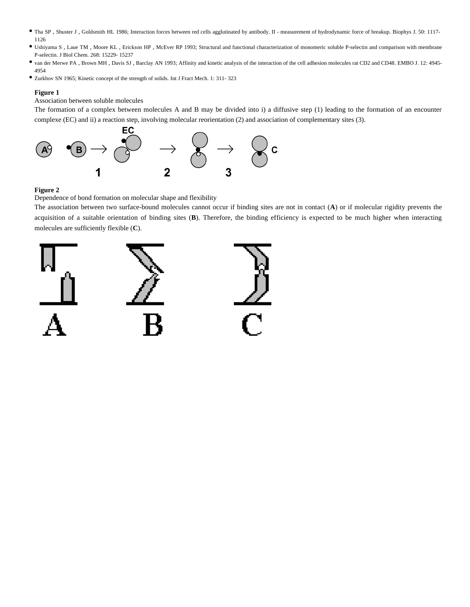- Tha SP , Shuster J , Goldsmith HL 1986; Interaction forces between red cells agglutinated by antibody. II measurement of hydrodynamic force of breakup. Biophys J. 50: 1117- 1126
- Ushiyama S , Laue TM , Moore KL , Erickson HP , McEver RP 1993; Structural and functional characterization of monomeric soluble P-selectin and comparison with membrane P-selectin. J Biol Chem. 268: 15229- 15237
- van der Merwe PA , Brown MH , Davis SJ , Barclay AN 1993; Affinity and kinetic analysis of the interaction of the cell adhesion molecules rat CD2 and CD48. EMBO J. 12: 4945- 4954
- Zurkhov SN 1965; Kinetic concept of the strength of solids. Int J Fract Mech. 1: 311- 323

## **Figure 1**

Association between soluble molecules

The formation of a complex between molecules A and B may be divided into i) a diffusive step (1) leading to the formation of an encounter complexe (EC) and ii) a reaction step, involving molecular reorientation (2) and association of complementary sites (3).



### **Figure 2**

Dependence of bond formation on molecular shape and flexibility

The association between two surface-bound molecules cannot occur if binding sites are not in contact (**A**) or if molecular rigidity prevents the acquisition of a suitable orientation of binding sites (**B**). Therefore, the binding efficiency is expected to be much higher when interacting molecules are sufficiently flexible (**C**).

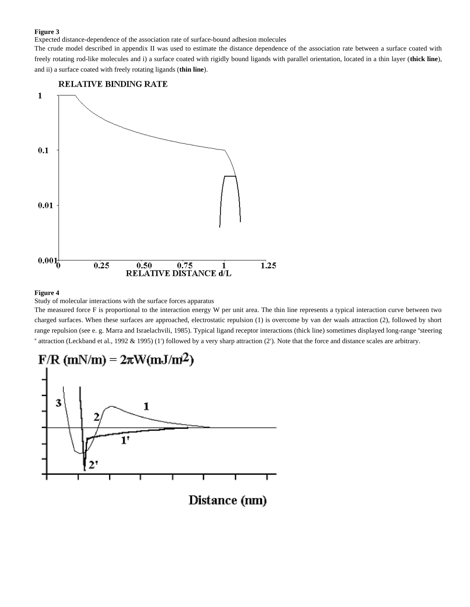#### **Figure 3**

Expected distance-dependence of the association rate of surface-bound adhesion molecules

The crude model described in appendix II was used to estimate the distance dependence of the association rate between a surface coated with freely rotating rod-like molecules and i) a surface coated with rigidly bound ligands with parallel orientation, located in a thin layer (**thick line**), and ii) a surface coated with freely rotating ligands (**thin line**).



#### **Figure 4**

Study of molecular interactions with the surface forces apparatus

The measured force F is proportional to the interaction energy W per unit area. The thin line represents a typical interaction curve between two charged surfaces. When these surfaces are approached, electrostatic repulsion (1) is overcome by van der waals attraction (2), followed by short range repulsion (see e. g. Marra and Israelachvili, 1985). Typical ligand receptor interactions (thick line) sometimes displayed long-range "steering " attraction (Leckband et al., 1992 & 1995) (1′) followed by a very sharp attraction (2′). Note that the force and distance scales are arbitrary.



Distance (nm)